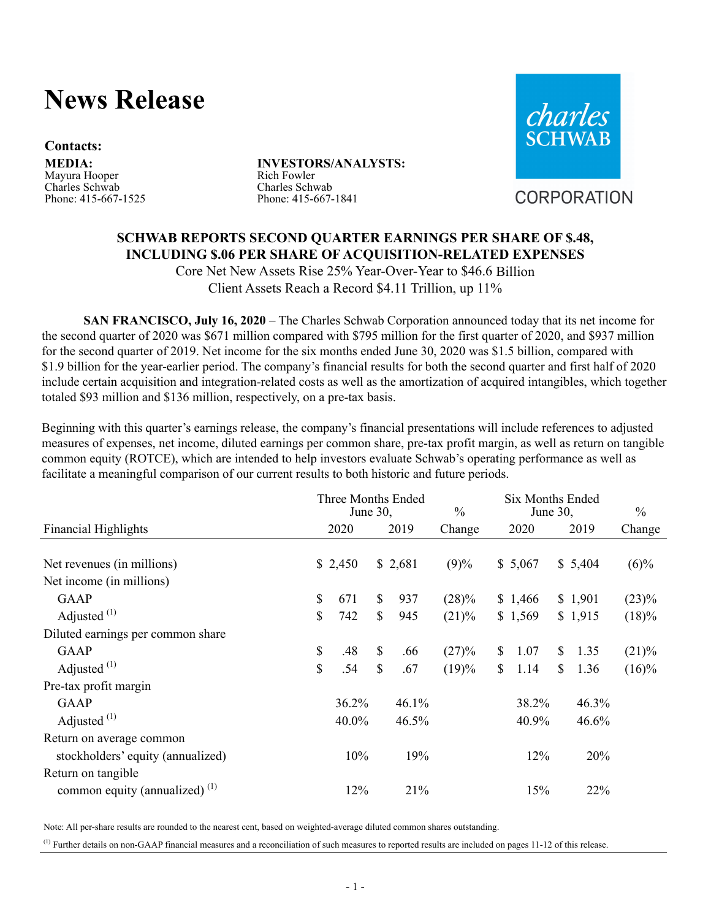# **News Release**

#### **Contacts:**

**MEDIA:** Mayura Hooper Charles Schwab Phone: 415-667-1525 **INVESTORS/ANALYSTS:** Rich Fowler Charles Schwab Phone: 415-667-1841



CORPORATION

## **SCHWAB REPORTS SECOND QUARTER EARNINGS PER SHARE OF \$.48, INCLUDING \$.06 PER SHARE OF ACQUISITION-RELATED EXPENSES**

Core Net New Assets Rise 25% Year-Over-Year to \$46.6 Billion Client Assets Reach a Record \$4.11 Trillion, up 11%

**SAN FRANCISCO, July 16, 2020** – The Charles Schwab Corporation announced today that its net income for the second quarter of 2020 was \$671 million compared with \$795 million for the first quarter of 2020, and \$937 million for the second quarter of 2019. Net income for the six months ended June 30, 2020 was \$1.5 billion, compared with \$1.9 billion for the year-earlier period. The company's financial results for both the second quarter and first half of 2020 include certain acquisition and integration-related costs as well as the amortization of acquired intangibles, which together totaled \$93 million and \$136 million, respectively, on a pre-tax basis.

Beginning with this quarter's earnings release, the company's financial presentations will include references to adjusted measures of expenses, net income, diluted earnings per common share, pre-tax profit margin, as well as return on tangible common equity (ROTCE), which are intended to help investors evaluate Schwab's operating performance as well as facilitate a meaningful comparison of our current results to both historic and future periods.

|                                     | Three Months Ended<br>June $30$ , |              |         | $\frac{0}{0}$ |                |         | June $30$ ,  | <b>Six Months Ended</b> | $\frac{0}{0}$ |  |
|-------------------------------------|-----------------------------------|--------------|---------|---------------|----------------|---------|--------------|-------------------------|---------------|--|
| <b>Financial Highlights</b>         | 2020                              |              | 2019    | Change        |                | 2020    |              | 2019                    | Change        |  |
| Net revenues (in millions)          | \$2,450                           |              | \$2,681 | (9)%          |                | \$5,067 |              | \$5,404                 | $(6)\%$       |  |
| Net income (in millions)            |                                   |              |         |               |                |         |              |                         |               |  |
| GAAP                                | \$<br>671                         | $\mathbb{S}$ | 937     | $(28)\%$      |                | \$1,466 |              | \$1,901                 | $(23)\%$      |  |
| Adjusted $(1)$                      | \$<br>742                         | $\mathbb{S}$ | 945     | (21)%         |                | \$1,569 |              | \$1,915                 | (18)%         |  |
| Diluted earnings per common share   |                                   |              |         |               |                |         |              |                         |               |  |
| GAAP                                | \$<br>.48                         | $\mathbb{S}$ | .66     | (27)%         | $\mathbb{S}$   | 1.07    | $\mathbb{S}$ | 1.35                    | (21)%         |  |
| Adjusted $(1)$                      | \$<br>.54                         | $\mathbb{S}$ | .67     | (19)%         | $\mathbb{S}^-$ | 1.14    | \$           | 1.36                    | $(16)\%$      |  |
| Pre-tax profit margin               |                                   |              |         |               |                |         |              |                         |               |  |
| GAAP                                | 36.2%                             |              | 46.1%   |               |                | 38.2%   |              | 46.3%                   |               |  |
| Adjusted $(1)$                      | 40.0%                             |              | 46.5%   |               |                | 40.9%   |              | 46.6%                   |               |  |
| Return on average common            |                                   |              |         |               |                |         |              |                         |               |  |
| stockholders' equity (annualized)   | 10%                               |              | 19%     |               |                | 12%     |              | 20%                     |               |  |
| Return on tangible                  |                                   |              |         |               |                |         |              |                         |               |  |
| common equity (annualized) $^{(1)}$ | 12%                               |              | 21%     |               |                | 15%     |              | 22%                     |               |  |

Note: All per-share results are rounded to the nearest cent, based on weighted-average diluted common shares outstanding.

 $<sup>(1)</sup>$  Further details on non-GAAP financial measures and a reconciliation of such measures to reported results are included on pages 11-12 of this release.</sup>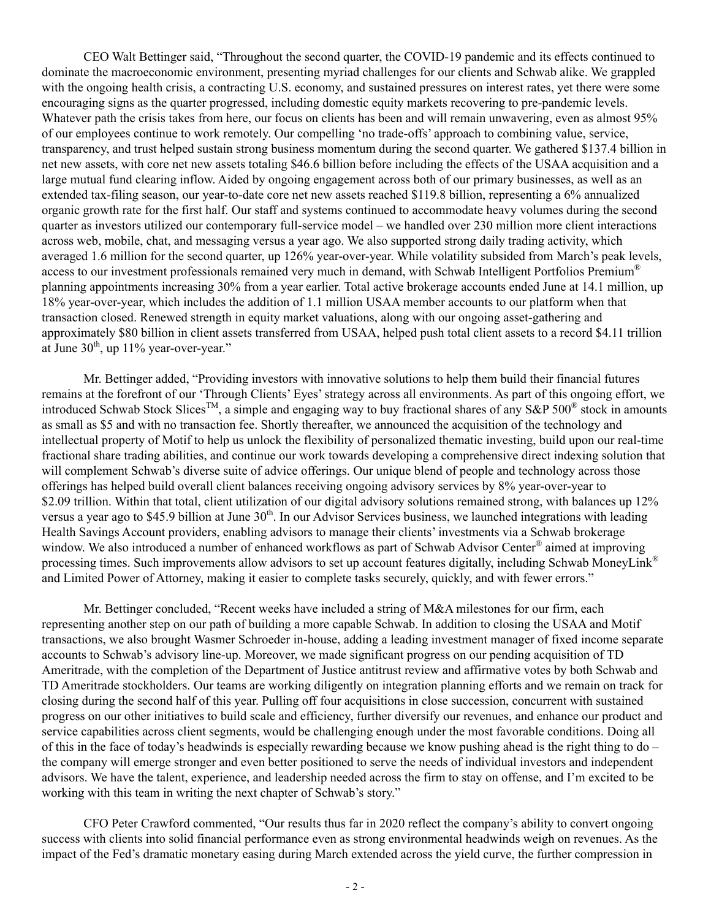CEO Walt Bettinger said, "Throughout the second quarter, the COVID-19 pandemic and its effects continued to dominate the macroeconomic environment, presenting myriad challenges for our clients and Schwab alike. We grappled with the ongoing health crisis, a contracting U.S. economy, and sustained pressures on interest rates, yet there were some encouraging signs as the quarter progressed, including domestic equity markets recovering to pre-pandemic levels. Whatever path the crisis takes from here, our focus on clients has been and will remain unwavering, even as almost 95% of our employees continue to work remotely. Our compelling 'no trade-offs' approach to combining value, service, transparency, and trust helped sustain strong business momentum during the second quarter. We gathered \$137.4 billion in net new assets, with core net new assets totaling \$46.6 billion before including the effects of the USAA acquisition and a large mutual fund clearing inflow. Aided by ongoing engagement across both of our primary businesses, as well as an extended tax-filing season, our year-to-date core net new assets reached \$119.8 billion, representing a 6% annualized organic growth rate for the first half. Our staff and systems continued to accommodate heavy volumes during the second quarter as investors utilized our contemporary full-service model – we handled over 230 million more client interactions across web, mobile, chat, and messaging versus a year ago. We also supported strong daily trading activity, which averaged 1.6 million for the second quarter, up 126% year-over-year. While volatility subsided from March's peak levels, access to our investment professionals remained very much in demand, with Schwab Intelligent Portfolios Premium® planning appointments increasing 30% from a year earlier. Total active brokerage accounts ended June at 14.1 million, up 18% year-over-year, which includes the addition of 1.1 million USAA member accounts to our platform when that transaction closed. Renewed strength in equity market valuations, along with our ongoing asset-gathering and approximately \$80 billion in client assets transferred from USAA, helped push total client assets to a record \$4.11 trillion at June  $30<sup>th</sup>$ , up 11% year-over-year."

Mr. Bettinger added, "Providing investors with innovative solutions to help them build their financial futures remains at the forefront of our 'Through Clients' Eyes' strategy across all environments. As part of this ongoing effort, we introduced Schwab Stock Slices<sup>TM</sup>, a simple and engaging way to buy fractional shares of any S&P 500<sup>®</sup> stock in amounts as small as \$5 and with no transaction fee. Shortly thereafter, we announced the acquisition of the technology and intellectual property of Motif to help us unlock the flexibility of personalized thematic investing, build upon our real-time fractional share trading abilities, and continue our work towards developing a comprehensive direct indexing solution that will complement Schwab's diverse suite of advice offerings. Our unique blend of people and technology across those offerings has helped build overall client balances receiving ongoing advisory services by 8% year-over-year to \$2.09 trillion. Within that total, client utilization of our digital advisory solutions remained strong, with balances up 12% versus a year ago to \$45.9 billion at June  $30<sup>th</sup>$ . In our Advisor Services business, we launched integrations with leading Health Savings Account providers, enabling advisors to manage their clients' investments via a Schwab brokerage window. We also introduced a number of enhanced workflows as part of Schwab Advisor Center® aimed at improving processing times. Such improvements allow advisors to set up account features digitally, including Schwab MoneyLink® and Limited Power of Attorney, making it easier to complete tasks securely, quickly, and with fewer errors."

Mr. Bettinger concluded, "Recent weeks have included a string of M&A milestones for our firm, each representing another step on our path of building a more capable Schwab. In addition to closing the USAA and Motif transactions, we also brought Wasmer Schroeder in-house, adding a leading investment manager of fixed income separate accounts to Schwab's advisory line-up. Moreover, we made significant progress on our pending acquisition of TD Ameritrade, with the completion of the Department of Justice antitrust review and affirmative votes by both Schwab and TD Ameritrade stockholders. Our teams are working diligently on integration planning efforts and we remain on track for closing during the second half of this year. Pulling off four acquisitions in close succession, concurrent with sustained progress on our other initiatives to build scale and efficiency, further diversify our revenues, and enhance our product and service capabilities across client segments, would be challenging enough under the most favorable conditions. Doing all of this in the face of today's headwinds is especially rewarding because we know pushing ahead is the right thing to do – the company will emerge stronger and even better positioned to serve the needs of individual investors and independent advisors. We have the talent, experience, and leadership needed across the firm to stay on offense, and I'm excited to be working with this team in writing the next chapter of Schwab's story."

CFO Peter Crawford commented, "Our results thus far in 2020 reflect the company's ability to convert ongoing success with clients into solid financial performance even as strong environmental headwinds weigh on revenues. As the impact of the Fed's dramatic monetary easing during March extended across the yield curve, the further compression in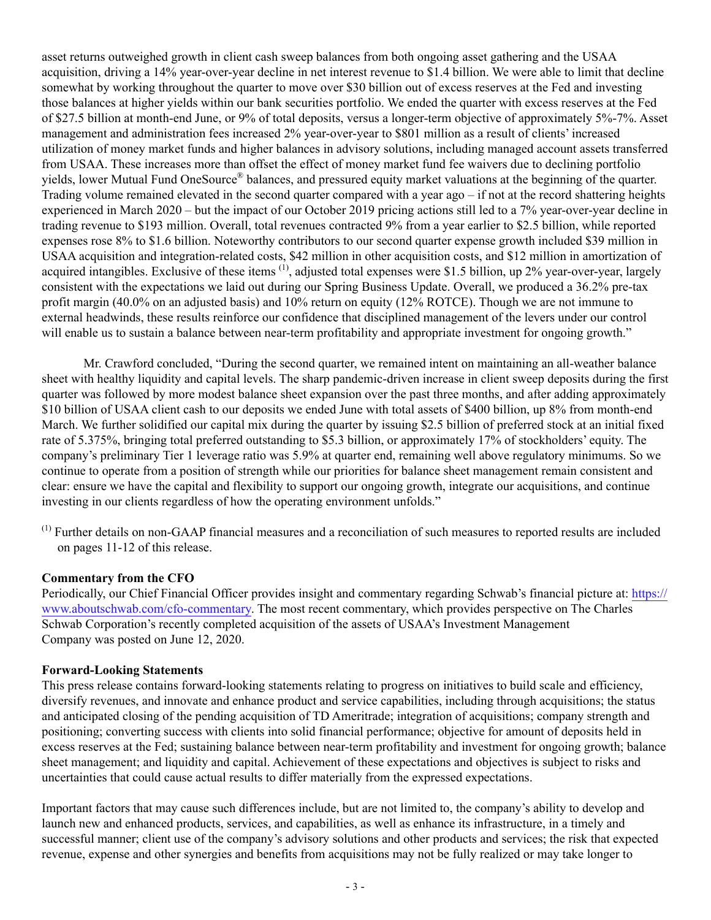asset returns outweighed growth in client cash sweep balances from both ongoing asset gathering and the USAA acquisition, driving a 14% year-over-year decline in net interest revenue to \$1.4 billion. We were able to limit that decline somewhat by working throughout the quarter to move over \$30 billion out of excess reserves at the Fed and investing those balances at higher yields within our bank securities portfolio. We ended the quarter with excess reserves at the Fed of \$27.5 billion at month-end June, or 9% of total deposits, versus a longer-term objective of approximately 5%-7%. Asset management and administration fees increased 2% year-over-year to \$801 million as a result of clients' increased utilization of money market funds and higher balances in advisory solutions, including managed account assets transferred from USAA. These increases more than offset the effect of money market fund fee waivers due to declining portfolio yields, lower Mutual Fund OneSource® balances, and pressured equity market valuations at the beginning of the quarter. Trading volume remained elevated in the second quarter compared with a year ago – if not at the record shattering heights experienced in March 2020 – but the impact of our October 2019 pricing actions still led to a 7% year-over-year decline in trading revenue to \$193 million. Overall, total revenues contracted 9% from a year earlier to \$2.5 billion, while reported expenses rose 8% to \$1.6 billion. Noteworthy contributors to our second quarter expense growth included \$39 million in USAA acquisition and integration-related costs, \$42 million in other acquisition costs, and \$12 million in amortization of acquired intangibles. Exclusive of these items  $(1)$ , adjusted total expenses were \$1.5 billion, up 2% year-over-year, largely consistent with the expectations we laid out during our Spring Business Update. Overall, we produced a 36.2% pre-tax profit margin (40.0% on an adjusted basis) and 10% return on equity (12% ROTCE). Though we are not immune to external headwinds, these results reinforce our confidence that disciplined management of the levers under our control will enable us to sustain a balance between near-term profitability and appropriate investment for ongoing growth."

Mr. Crawford concluded, "During the second quarter, we remained intent on maintaining an all-weather balance sheet with healthy liquidity and capital levels. The sharp pandemic-driven increase in client sweep deposits during the first quarter was followed by more modest balance sheet expansion over the past three months, and after adding approximately \$10 billion of USAA client cash to our deposits we ended June with total assets of \$400 billion, up 8% from month-end March. We further solidified our capital mix during the quarter by issuing \$2.5 billion of preferred stock at an initial fixed rate of 5.375%, bringing total preferred outstanding to \$5.3 billion, or approximately 17% of stockholders' equity. The company's preliminary Tier 1 leverage ratio was 5.9% at quarter end, remaining well above regulatory minimums. So we continue to operate from a position of strength while our priorities for balance sheet management remain consistent and clear: ensure we have the capital and flexibility to support our ongoing growth, integrate our acquisitions, and continue investing in our clients regardless of how the operating environment unfolds."

(1) Further details on non-GAAP financial measures and a reconciliation of such measures to reported results are included on pages 11-12 of this release.

#### **Commentary from the CFO**

Periodically, our Chief Financial Officer provides insight and commentary regarding Schwab's financial picture at: https:// www.aboutschwab.com/cfo-commentary. The most recent commentary, which provides perspective on The Charles Schwab Corporation's recently completed acquisition of the assets of USAA's Investment Management Company was posted on June 12, 2020.

#### **Forward-Looking Statements**

This press release contains forward-looking statements relating to progress on initiatives to build scale and efficiency, diversify revenues, and innovate and enhance product and service capabilities, including through acquisitions; the status and anticipated closing of the pending acquisition of TD Ameritrade; integration of acquisitions; company strength and positioning; converting success with clients into solid financial performance; objective for amount of deposits held in excess reserves at the Fed; sustaining balance between near-term profitability and investment for ongoing growth; balance sheet management; and liquidity and capital. Achievement of these expectations and objectives is subject to risks and uncertainties that could cause actual results to differ materially from the expressed expectations.

Important factors that may cause such differences include, but are not limited to, the company's ability to develop and launch new and enhanced products, services, and capabilities, as well as enhance its infrastructure, in a timely and successful manner; client use of the company's advisory solutions and other products and services; the risk that expected revenue, expense and other synergies and benefits from acquisitions may not be fully realized or may take longer to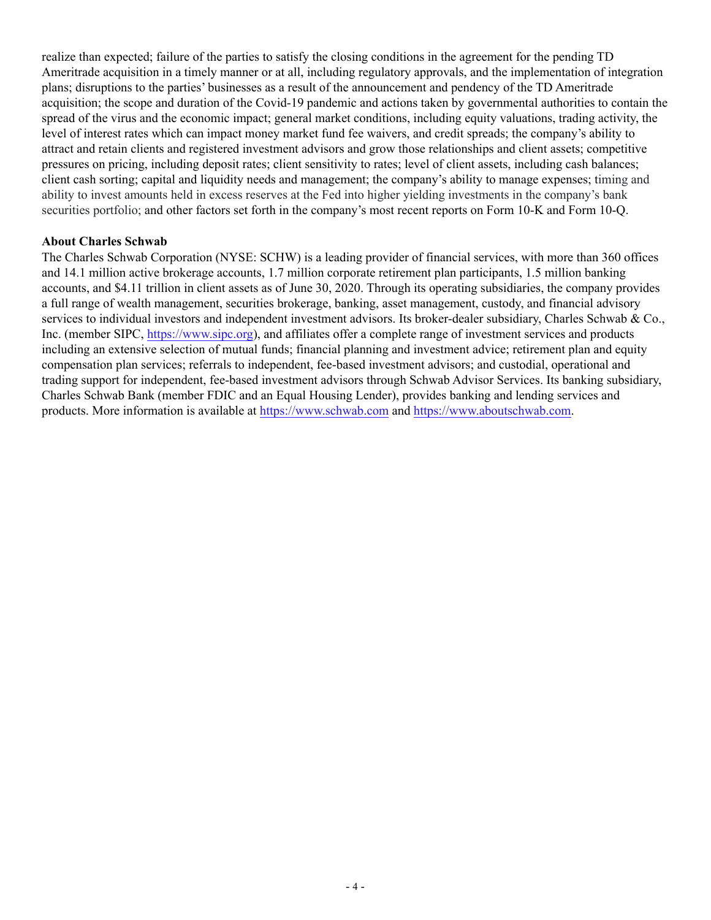realize than expected; failure of the parties to satisfy the closing conditions in the agreement for the pending TD Ameritrade acquisition in a timely manner or at all, including regulatory approvals, and the implementation of integration plans; disruptions to the parties' businesses as a result of the announcement and pendency of the TD Ameritrade acquisition; the scope and duration of the Covid-19 pandemic and actions taken by governmental authorities to contain the spread of the virus and the economic impact; general market conditions, including equity valuations, trading activity, the level of interest rates which can impact money market fund fee waivers, and credit spreads; the company's ability to attract and retain clients and registered investment advisors and grow those relationships and client assets; competitive pressures on pricing, including deposit rates; client sensitivity to rates; level of client assets, including cash balances; client cash sorting; capital and liquidity needs and management; the company's ability to manage expenses; timing and ability to invest amounts held in excess reserves at the Fed into higher yielding investments in the company's bank securities portfolio; and other factors set forth in the company's most recent reports on Form 10-K and Form 10-Q.

#### **About Charles Schwab**

The Charles Schwab Corporation (NYSE: SCHW) is a leading provider of financial services, with more than 360 offices and 14.1 million active brokerage accounts, 1.7 million corporate retirement plan participants, 1.5 million banking accounts, and \$4.11 trillion in client assets as of June 30, 2020. Through its operating subsidiaries, the company provides a full range of wealth management, securities brokerage, banking, asset management, custody, and financial advisory services to individual investors and independent investment advisors. Its broker-dealer subsidiary, Charles Schwab & Co., Inc. (member SIPC, https://www.sipc.org), and affiliates offer a complete range of investment services and products including an extensive selection of mutual funds; financial planning and investment advice; retirement plan and equity compensation plan services; referrals to independent, fee-based investment advisors; and custodial, operational and trading support for independent, fee-based investment advisors through Schwab Advisor Services. Its banking subsidiary, Charles Schwab Bank (member FDIC and an Equal Housing Lender), provides banking and lending services and products. More information is available at https://www.schwab.com and https://www.aboutschwab.com.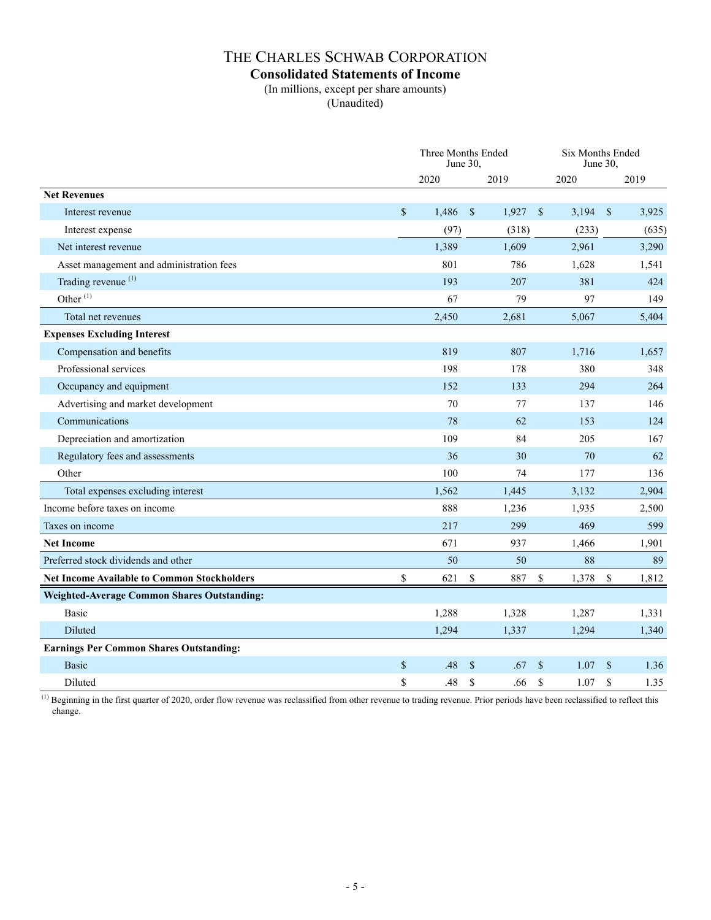### **Consolidated Statements of Income**

(In millions, except per share amounts)

(Unaudited)

|                                                    |              | June $30$ . | Three Months Ended    |              | Six Months Ended | June $30$ .        |       |
|----------------------------------------------------|--------------|-------------|-----------------------|--------------|------------------|--------------------|-------|
|                                                    |              | 2020        | 2019                  |              | 2020             |                    | 2019  |
| <b>Net Revenues</b>                                |              |             |                       |              |                  |                    |       |
| Interest revenue                                   | $\mathbb{S}$ | 1,486       | $\mathbb{S}$<br>1,927 | $\mathbf{s}$ | 3,194            | $\mathbf{\hat{s}}$ | 3,925 |
| Interest expense                                   |              | (97)        | (318)                 |              | (233)            |                    | (635) |
| Net interest revenue                               |              | 1,389       | 1,609                 |              | 2,961            |                    | 3,290 |
| Asset management and administration fees           |              | 801         | 786                   |              | 1,628            |                    | 1,541 |
| Trading revenue <sup>(1)</sup>                     |              | 193         | 207                   |              | 381              |                    | 424   |
| Other <sup>(1)</sup>                               |              | 67          | 79                    |              | 97               |                    | 149   |
| Total net revenues                                 |              | 2,450       | 2,681                 |              | 5,067            |                    | 5,404 |
| <b>Expenses Excluding Interest</b>                 |              |             |                       |              |                  |                    |       |
| Compensation and benefits                          |              | 819         | 807                   |              | 1,716            |                    | 1,657 |
| Professional services                              |              | 198         | 178                   |              | 380              |                    | 348   |
| Occupancy and equipment                            |              | 152         | 133                   |              | 294              |                    | 264   |
| Advertising and market development                 |              | 70          | 77                    |              | 137              |                    | 146   |
| Communications                                     |              | 78          | 62                    |              | 153              |                    | 124   |
| Depreciation and amortization                      |              | 109         | 84                    |              | 205              |                    | 167   |
| Regulatory fees and assessments                    |              | 36          | 30                    |              | 70               |                    | 62    |
| Other                                              |              | 100         | 74                    |              | 177              |                    | 136   |
| Total expenses excluding interest                  |              | 1,562       | 1,445                 |              | 3,132            |                    | 2,904 |
| Income before taxes on income                      |              | 888         | 1,236                 |              | 1,935            |                    | 2,500 |
| Taxes on income                                    |              | 217         | 299                   |              | 469              |                    | 599   |
| <b>Net Income</b>                                  |              | 671         | 937                   |              | 1,466            |                    | 1,901 |
| Preferred stock dividends and other                |              | 50          | 50                    |              | 88               |                    | 89    |
| <b>Net Income Available to Common Stockholders</b> | \$           | 621         | \$<br>887             | $\$$         | 1,378            | \$                 | 1,812 |
| <b>Weighted-Average Common Shares Outstanding:</b> |              |             |                       |              |                  |                    |       |
| Basic                                              |              | 1,288       | 1,328                 |              | 1,287            |                    | 1,331 |
| Diluted                                            |              | 1,294       | 1,337                 |              | 1,294            |                    | 1,340 |
| <b>Earnings Per Common Shares Outstanding:</b>     |              |             |                       |              |                  |                    |       |
| <b>Basic</b>                                       | \$           | .48         | \$<br>.67             | \$           | 1.07             | $\mathbb{S}$       | 1.36  |
| Diluted                                            | \$           | .48         | \$<br>.66             | \$           | 1.07             | $\mathbf S$        | 1.35  |

 $\overline{^{(1)}$  Beginning in the first quarter of 2020, order flow revenue was reclassified from other revenue to trading revenue. Prior periods have been reclassified to reflect this change.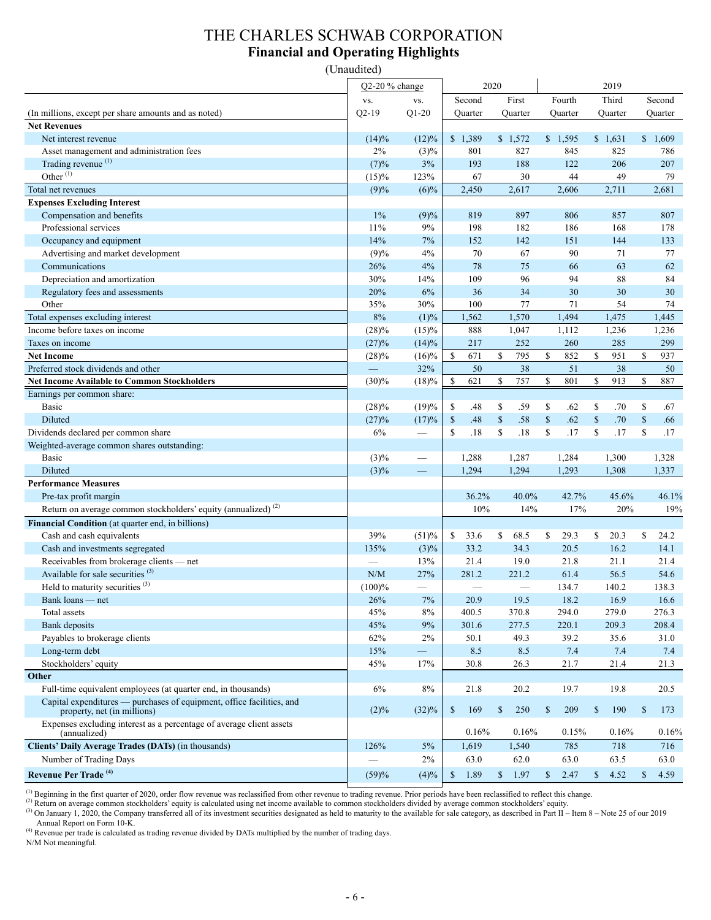## THE CHARLES SCHWAB CORPORATION **Financial and Operating Highlights**

(Unaudited)

|                                                                                                      | $Q2-20%$ change |                                 |                      | 2020               |                      | 2019                |              |         |
|------------------------------------------------------------------------------------------------------|-----------------|---------------------------------|----------------------|--------------------|----------------------|---------------------|--------------|---------|
|                                                                                                      | VS.             | VS.                             | Second               | First              | Fourth               | Third               |              | Second  |
| (In millions, except per share amounts and as noted)                                                 | $Q2-19$         | $Q1-20$                         | Quarter              | Quarter            | Quarter              | Quarter             |              | Quarter |
| <b>Net Revenues</b>                                                                                  |                 |                                 |                      |                    |                      |                     |              |         |
| Net interest revenue                                                                                 | (14)%           | $(12)\%$                        | \$1,389              | \$1,572            | \$1,595              | \$1,631             |              | \$1,609 |
| Asset management and administration fees                                                             | 2%              | $(3)\%$                         | 801                  | 827                | 845                  | 825                 |              | 786     |
| Trading revenue <sup>(1)</sup>                                                                       | (7)%            | 3%                              | 193                  | 188                | 122                  | 206                 |              | 207     |
| Other $(1)$                                                                                          | (15)%           | 123%                            | 67                   | 30                 | 44                   | 49                  |              | 79      |
| Total net revenues                                                                                   | (9)%            | $(6)\%$                         | 2,450                | 2,617              | 2,606                | 2,711               |              | 2,681   |
| <b>Expenses Excluding Interest</b>                                                                   |                 |                                 |                      |                    |                      |                     |              |         |
| Compensation and benefits                                                                            | $1\%$           | (9)%                            | 819                  | 897                | 806                  | 857                 |              | 807     |
| Professional services                                                                                | 11%             | 9%                              | 198                  | 182                | 186                  | 168                 |              | 178     |
| Occupancy and equipment                                                                              | 14%             | 7%                              | 152                  | 142                | 151                  | 144                 |              | 133     |
| Advertising and market development                                                                   | (9)%            | 4%                              | 70                   | 67                 | 90                   | 71                  |              | 77      |
| Communications                                                                                       | 26%             | 4%                              | 78                   | 75                 | 66                   | 63                  |              | 62      |
| Depreciation and amortization                                                                        | 30%             | 14%                             | 109                  | 96                 | 94                   | 88                  |              | 84      |
| Regulatory fees and assessments                                                                      | 20%             | 6%                              | 36                   | 34                 | 30                   | 30                  |              | 30      |
| Other                                                                                                | 35%             | 30%                             | 100                  | 77                 | 71                   | 54                  |              | 74      |
| Total expenses excluding interest                                                                    | 8%              | (1)%                            | 1,562                | 1,570              | 1,494                | 1,475               |              | 1,445   |
| Income before taxes on income                                                                        | (28)%           | $(15)\%$                        | 888                  | 1,047              | 1,112                | 1,236               |              | 1,236   |
| Taxes on income                                                                                      | (27)%           | (14)%                           | 217                  | 252                | 260                  | 285                 |              | 299     |
| <b>Net Income</b>                                                                                    | (28)%           | $(16)\%$                        | \$<br>671            | \$<br>795          | $\mathbb{S}$<br>852  | \$<br>951           | \$           | 937     |
| Preferred stock dividends and other                                                                  |                 | 32%                             | 50                   | 38                 | 51                   | 38                  |              | 50      |
| <b>Net Income Available to Common Stockholders</b>                                                   | (30)%           | (18)%                           | \$<br>621            | \$<br>757          | \$<br>801            | \$<br>913           | \$           | 887     |
| Earnings per common share:                                                                           |                 |                                 |                      |                    |                      |                     |              |         |
| Basic                                                                                                | (28)%           | (19)%                           | \$<br>.48            | \$<br>.59          | \$<br>.62            | \$<br>.70           | \$           | .67     |
| Diluted                                                                                              | (27)%           | (17)%                           | $\mathbb{S}$<br>.48  | $\mathbb S$<br>.58 | $\mathbb{S}$<br>.62  | $\mathbb{S}$<br>.70 | $\mathbb{S}$ | .66     |
| Dividends declared per common share                                                                  | 6%              | $\hspace{0.1mm}-\hspace{0.1mm}$ | \$<br>.18            | \$<br>.18          | \$<br>.17            | \$<br>.17           | \$           | .17     |
| Weighted-average common shares outstanding:                                                          |                 |                                 |                      |                    |                      |                     |              |         |
| <b>Basic</b>                                                                                         | (3)%            |                                 | 1,288                | 1,287              | 1,284                | 1,300               |              | 1,328   |
| Diluted                                                                                              | $(3)\%$         |                                 | 1,294                | 1,294              | 1,293                | 1,308               |              | 1,337   |
| <b>Performance Measures</b>                                                                          |                 |                                 |                      |                    |                      |                     |              |         |
| Pre-tax profit margin                                                                                |                 |                                 | 36.2%                | 40.0%              | 42.7%                | 45.6%               |              | 46.1%   |
| Return on average common stockholders' equity (annualized) <sup>(2)</sup>                            |                 |                                 | 10%                  | 14%                | 17%                  | 20%                 |              | 19%     |
| Financial Condition (at quarter end, in billions)                                                    |                 |                                 |                      |                    |                      |                     |              |         |
| Cash and cash equivalents                                                                            | 39%             | (51)%                           | 33.6<br>\$           | \$<br>68.5         | \$<br>29.3           | \$<br>20.3          | \$           | 24.2    |
| Cash and investments segregated                                                                      | 135%            | $(3)\%$                         | 33.2                 | 34.3               | 20.5                 | 16.2                |              | 14.1    |
| Receivables from brokerage clients - net                                                             |                 | 13%                             | 21.4                 | 19.0               | 21.8                 | 21.1                |              | 21.4    |
| Available for sale securities <sup>(3)</sup>                                                         | N/M             | 27%                             | 281.2                | 221.2              | 61.4                 | 56.5                |              | 54.6    |
| Held to maturity securities $(3)$                                                                    | (100)%          | $\qquad \qquad$                 |                      |                    | 134.7                | 140.2               |              | 138.3   |
| Bank loans — net                                                                                     | 26%             | $7\%$                           | 20.9                 | 19.5               | 18.2                 | 16.9                |              | 16.6    |
| Total assets                                                                                         | 45%             | 8%                              | 400.5                | 370.8              | 294.0                | 279.0               |              | 276.3   |
| Bank deposits                                                                                        | 45%             | $9\%$                           | 301.6                | 277.5              | 220.1                | 209.3               |              | 208.4   |
| Payables to brokerage clients                                                                        | 62%             | 2%                              | 50.1                 | 49.3               | 39.2                 | 35.6                |              | 31.0    |
| Long-term debt                                                                                       | 15%             | —                               | 8.5                  | 8.5                | 7.4                  | 7.4                 |              | 7.4     |
| Stockholders' equity                                                                                 | 45%             | 17%                             | 30.8                 | 26.3               | 21.7                 | 21.4                |              | 21.3    |
| Other                                                                                                |                 |                                 |                      |                    |                      |                     |              |         |
| Full-time equivalent employees (at quarter end, in thousands)                                        | 6%              | 8%                              | 21.8                 | 20.2               | 19.7                 | 19.8                |              | 20.5    |
| Capital expenditures — purchases of equipment, office facilities, and<br>property, net (in millions) | $(2)\%$         | (32)%                           | \$<br>169            | 250<br>\$          | <sup>\$</sup><br>209 | 190<br>\$           | \$           | 173     |
| Expenses excluding interest as a percentage of average client assets<br>(annualized)                 |                 |                                 | 0.16%                | 0.16%              | 0.15%                | 0.16%               |              | 0.16%   |
| Clients' Daily Average Trades (DATs) (in thousands)                                                  | 126%            | $5\%$                           | 1,619                | 1,540              | 785                  | 718                 |              | 716     |
| Number of Trading Days                                                                               |                 | 2%                              | 63.0                 | 62.0               | 63.0                 | 63.5                |              | 63.0    |
| Revenue Per Trade <sup>(4)</sup>                                                                     | (59)%           | (4)%                            | $\mathbb{S}$<br>1.89 | \$ 1.97            | $\mathbb{S}$<br>2.47 | \$4.52              | $\mathbb{S}$ | 4.59    |

 $^{(1)}$  Beginning in the first quarter of 2020, order flow revenue was reclassified from other revenue to trading revenue. Prior periods have been reclassified to reflect this change.

(2) Return on average common stockholders' equity is calculated using net income available to common stockholders divided by average common stockholders' equity.

(3) On January 1, 2020, the Company transferred all of its investment securities designated as held to maturity to the available for sale category, as described in Part II – Item 8 – Note 25 of our 2019

Annual Report on Form 10-K.<br><sup>(4)</sup> Revenue per trade is calculated as trading revenue divided by DATs multiplied by the number of trading days.

N/M Not meaningful.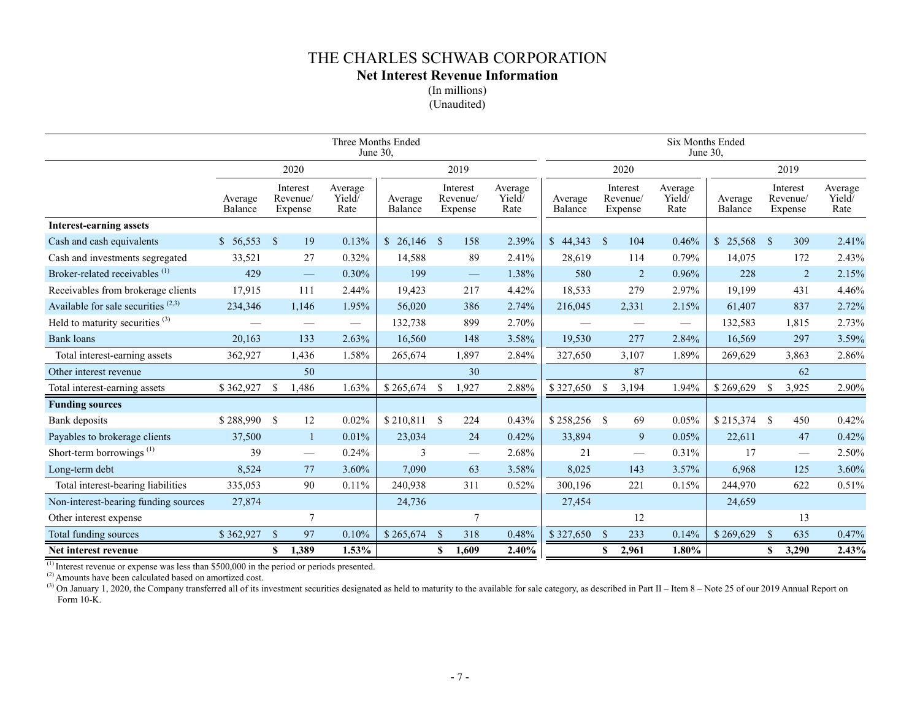**Net Interest Revenue Information**

(In millions) (Unaudited)

|                                            |                    |              |                                 |                           | <b>Six Months Ended</b><br>June 30, |               |                                           |                           |                    |               |                                 |                           |                    |               |                                  |                           |
|--------------------------------------------|--------------------|--------------|---------------------------------|---------------------------|-------------------------------------|---------------|-------------------------------------------|---------------------------|--------------------|---------------|---------------------------------|---------------------------|--------------------|---------------|----------------------------------|---------------------------|
|                                            |                    |              | 2020                            |                           |                                     |               | 2019                                      |                           |                    |               | 2020                            |                           |                    |               | 2019                             |                           |
|                                            | Average<br>Balance |              | Interest<br>Revenue/<br>Expense | Average<br>Yield/<br>Rate | Average<br>Balance                  |               | Interest<br>Revenue/<br>Expense           | Average<br>Yield/<br>Rate | Average<br>Balance |               | Interest<br>Revenue/<br>Expense | Average<br>Yield/<br>Rate | Average<br>Balance |               | Interest<br>Revenue/<br>Expense  | Average<br>Yield/<br>Rate |
| <b>Interest-earning assets</b>             |                    |              |                                 |                           |                                     |               |                                           |                           |                    |               |                                 |                           |                    |               |                                  |                           |
| Cash and cash equivalents                  | \$56,553           | - \$         | 19                              | 0.13%                     | $$26,146$ \, \$                     |               | 158                                       | 2.39%                     | \$44,343           | $\mathbf{s}$  | 104                             | 0.46%                     | \$25,568           | $\mathbf{s}$  | 309                              | 2.41%                     |
| Cash and investments segregated            | 33,521             |              | 27                              | 0.32%                     | 14,588                              |               | 89                                        | 2.41%                     | 28,619             |               | 114                             | 0.79%                     | 14,075             |               | 172                              | 2.43%                     |
| Broker-related receivables <sup>(1)</sup>  | 429                |              | $\qquad \qquad -$               | $0.30\%$                  | 199                                 |               | $\qquad \qquad \overline{\qquad \qquad }$ | 1.38%                     | 580                |               | 2                               | 0.96%                     | 228                |               | $\overline{2}$                   | 2.15%                     |
| Receivables from brokerage clients         | 17,915             |              | 111                             | 2.44%                     | 19,423                              |               | 217                                       | 4.42%                     | 18,533             |               | 279                             | 2.97%                     | 19,199             |               | 431                              | 4.46%                     |
| Available for sale securities $(2,3)$      | 234,346            |              | 1,146                           | 1.95%                     | 56,020                              |               | 386                                       | 2.74%                     | 216,045            |               | 2,331                           | 2.15%                     | 61,407             |               | 837                              | 2.72%                     |
| Held to maturity securities <sup>(3)</sup> |                    |              |                                 |                           | 132,738                             |               | 899                                       | 2.70%                     |                    |               |                                 | $\overline{\phantom{0}}$  | 132,583            |               | 1,815                            | 2.73%                     |
| <b>Bank</b> loans                          | 20,163             |              | 133                             | 2.63%                     | 16,560                              |               | 148                                       | 3.58%                     | 19,530             |               | 277                             | 2.84%                     | 16,569             |               | 297                              | 3.59%                     |
| Total interest-earning assets              | 362,927            |              | 1,436                           | 1.58%                     | 265,674                             |               | 1,897                                     | 2.84%                     | 327,650            |               | 3,107                           | 1.89%                     | 269,629            |               | 3,863                            | 2.86%                     |
| Other interest revenue                     |                    |              | 50                              |                           |                                     |               | 30                                        |                           |                    |               | 87                              |                           |                    |               | 62                               |                           |
| Total interest-earning assets              | \$362,927          | -\$          | 1,486                           | 1.63%                     | \$265,674                           |               | 1,927                                     | 2.88%                     | \$327,650          | <sup>\$</sup> | 3,194                           | 1.94%                     | \$269,629          |               | 3,925                            | 2.90%                     |
| <b>Funding sources</b>                     |                    |              |                                 |                           |                                     |               |                                           |                           |                    |               |                                 |                           |                    |               |                                  |                           |
| Bank deposits                              | $$288,990$ \ \$    |              | 12                              | 0.02%                     | \$210,811                           | <sup>S</sup>  | 224                                       | 0.43%                     | \$258,256          | -S            | 69                              | 0.05%                     | $$215,374$ \ \$    |               | 450                              | 0.42%                     |
| Payables to brokerage clients              | 37,500             |              | $\mathbf{1}$                    | 0.01%                     | 23,034                              |               | 24                                        | 0.42%                     | 33,894             |               | 9                               | 0.05%                     | 22,611             |               | 47                               | 0.42%                     |
| Short-term borrowings $^{(1)}$             | 39                 |              |                                 | 0.24%                     | 3                                   |               |                                           | 2.68%                     | 21                 |               | $\overline{\phantom{m}}$        | 0.31%                     | 17                 |               | $\overbrace{\phantom{12322111}}$ | 2.50%                     |
| Long-term debt                             | 8,524              |              | 77                              | 3.60%                     | 7,090                               |               | 63                                        | 3.58%                     | 8,025              |               | 143                             | 3.57%                     | 6,968              |               | 125                              | 3.60%                     |
| Total interest-bearing liabilities         | 335,053            |              | 90                              | 0.11%                     | 240,938                             |               | 311                                       | 0.52%                     | 300,196            |               | 221                             | 0.15%                     | 244,970            |               | 622                              | 0.51%                     |
| Non-interest-bearing funding sources       | 27,874             |              |                                 |                           | 24,736                              |               |                                           |                           | 27,454             |               |                                 |                           | 24,659             |               |                                  |                           |
| Other interest expense                     |                    |              | $\tau$                          |                           |                                     |               | $\tau$                                    |                           |                    |               | 12                              |                           |                    |               | 13                               |                           |
| <b>Total funding sources</b>               | \$362,927          | $\mathbf{s}$ | 97                              | 0.10%                     | \$265,674                           | <sup>\$</sup> | 318                                       | 0.48%                     | \$327,650          | $\mathcal{S}$ | 233                             | 0.14%                     | \$269,629          | <sup>\$</sup> | 635                              | 0.47%                     |
| Net interest revenue                       |                    | S            | 1,389                           | $1.53\%$                  |                                     | \$            | 1,609                                     | 2.40%                     |                    | \$            | 2,961                           | 1.80%                     |                    | S.            | 3,290                            | 2.43%                     |

 $<sup>(1)</sup>$  Interest revenue or expense was less than \$500,000 in the period or periods presented.</sup>

 $^{(2)}$  Amounts have been calculated based on amortized cost.

(3) On January 1, 2020, the Company transferred all of its investment securities designated as held to maturity to the available for sale category, as described in Part II – Item 8 – Note 25 of our 2019 Annual Report on Form 10-K.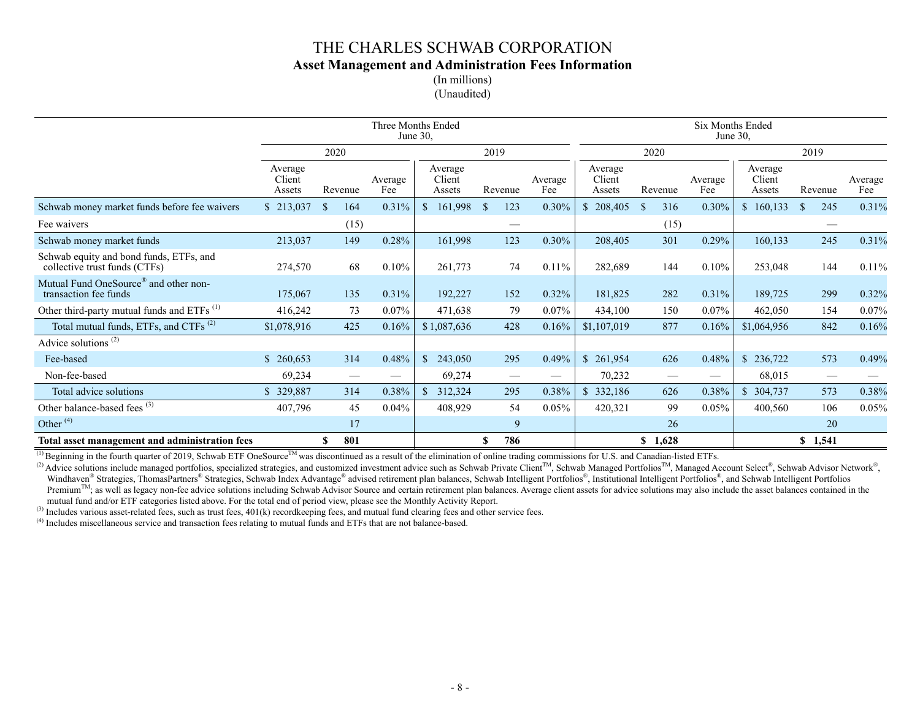## THE CHARLES SCHWAB CORPORATION **Asset Management and Administration Fees Information** (In millions)

(Unaudited)

|                                                                            | Three Months Ended<br>Six Months Ended<br>June 30,<br>June $30$ , |                 |                |                             |                               |                |                             |                      |                                         |                             |                               |                |
|----------------------------------------------------------------------------|-------------------------------------------------------------------|-----------------|----------------|-----------------------------|-------------------------------|----------------|-----------------------------|----------------------|-----------------------------------------|-----------------------------|-------------------------------|----------------|
|                                                                            |                                                                   | 2020            |                |                             | 2019                          |                |                             | 2020                 |                                         |                             | 2019                          |                |
|                                                                            | Average<br>Client<br>Assets                                       | Revenue         | Average<br>Fee | Average<br>Client<br>Assets | Revenue                       | Average<br>Fee | Average<br>Client<br>Assets | Revenue              | Average<br>Fee                          | Average<br>Client<br>Assets | Revenue                       | Average<br>Fee |
| Schwab money market funds before fee waivers                               | \$213,037                                                         | 164<br>-S       | 0.31%          | $\mathbb{S}$<br>161,998     | 123<br>-S                     | 0.30%          | $\mathbb{S}$<br>208,405     | <sup>\$</sup><br>316 | 0.30%                                   | 160,133<br>\$               | 245<br><sup>\$</sup>          | 0.31%          |
| Fee waivers                                                                |                                                                   | (15)            |                |                             | $\overbrace{\phantom{12332}}$ |                |                             | (15)                 |                                         |                             |                               |                |
| Schwab money market funds                                                  | 213,037                                                           | 149             | 0.28%          | 161,998                     | 123                           | 0.30%          | 208,405                     | 301                  | 0.29%                                   | 160,133                     | 245                           | 0.31%          |
| Schwab equity and bond funds, ETFs, and<br>collective trust funds (CTFs)   | 274,570                                                           | 68              | 0.10%          | 261,773                     | 74                            | $0.11\%$       | 282,689                     | 144                  | 0.10%                                   | 253,048                     | 144                           | 0.11%          |
| Mutual Fund OneSource <sup>®</sup> and other non-<br>transaction fee funds | 175,067                                                           | 135             | 0.31%          | 192,227                     | 152                           | $0.32\%$       | 181,825                     | 282                  | 0.31%                                   | 189,725                     | 299                           | 0.32%          |
| Other third-party mutual funds and ETFs <sup>(1)</sup>                     | 416,242                                                           | 73              | $0.07\%$       | 471,638                     | 79                            | $0.07\%$       | 434,100                     | 150                  | $0.07\%$                                | 462,050                     | 154                           | 0.07%          |
| Total mutual funds, ETFs, and CTFs <sup>(2)</sup>                          | \$1,078,916                                                       | 425             | 0.16%          | \$1,087,636                 | 428                           | 0.16%          | \$1,107,019                 | 877                  | 0.16%                                   | \$1,064,956                 | 842                           | 0.16%          |
| Advice solutions <sup>(2)</sup>                                            |                                                                   |                 |                |                             |                               |                |                             |                      |                                         |                             |                               |                |
| Fee-based                                                                  | 260,653                                                           | 314             | 0.48%          | 243,050<br><sup>S</sup>     | 295                           | 0.49%          | \$261,954                   | 626                  | 0.48%                                   | \$236,722                   | 573                           | 0.49%          |
| Non-fee-based                                                              | 69,234                                                            | $\qquad \qquad$ |                | 69,274                      | $\hspace{0.05cm}$             |                | 70,232                      | $\hspace{0.05cm}$    | $\hspace{1.0cm} \overline{\phantom{0}}$ | 68,015                      | $\overbrace{\phantom{12332}}$ |                |
| Total advice solutions                                                     | \$329,887                                                         | 314             | 0.38%          | $\mathbb{S}$<br>312,324     | 295                           | 0.38%          | \$332,186                   | 626                  | 0.38%                                   | \$304,737                   | 573                           | 0.38%          |
| Other balance-based fees <sup>(3)</sup>                                    | 407,796                                                           | 45              | $0.04\%$       | 408,929                     | 54                            | 0.05%          | 420,321                     | 99                   | 0.05%                                   | 400,560                     | 106                           | 0.05%          |
| Other <sup>(4)</sup>                                                       |                                                                   | 17              |                |                             | 9                             |                |                             | 26                   |                                         |                             | 20                            |                |
| Total asset management and administration fees                             |                                                                   | 801<br>\$       |                |                             | 786<br>\$                     |                |                             | 1,628<br>\$          |                                         |                             | \$1,541                       |                |

<sup>(1)</sup> Beginning in the fourth quarter of 2019, Schwab ETF OneSource<sup>TM</sup> was discontinued as a result of the elimination of online trading commissions for U.S. and Canadian-listed ETFs.

(2) Advice solutions include managed portfolios, specialized strategies, and customized investment advice such as Schwab Private Client<sup>TM</sup>, Schwab Managed Portfolios<sup>TM</sup>, Managed Account Select®, Schwab Advisor Network®, Windhaven® Strategies, ThomasPartners® Strategies, Schwab Index Advantage® advised retirement plan balances, Schwab Intelligent Portfolios®, Institutional Intelligent Portfolios®, and Schwab Intelligent Portfolios Premium $<sup>TM</sup>$ ; as well as legacy non-fee advice solutions including Schwab Advisor Source and certain retirement plan balances. Average client assets for advice solutions may also include the asset balances contained i</sup> mutual fund and/or ETF categories listed above. For the total end of period view, please see the Monthly Activity Report.

(3) Includes various asset-related fees, such as trust fees, 401(k) recordkeeping fees, and mutual fund clearing fees and other service fees.

(4) Includes miscellaneous service and transaction fees relating to mutual funds and ETFs that are not balance-based.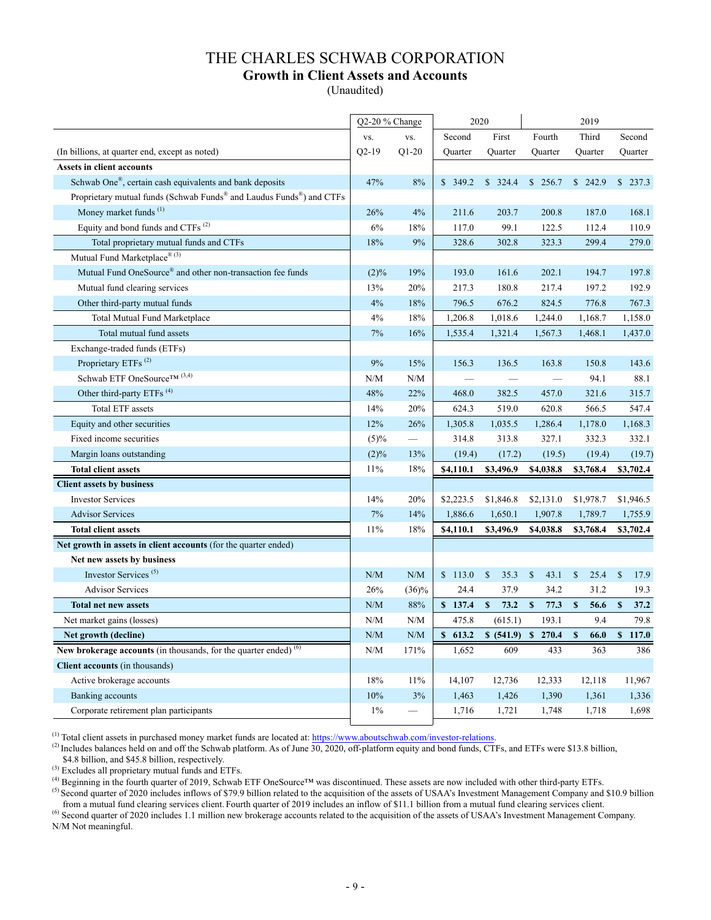## THE CHARLES SCHWAB CORPORATION **Growth in Client Assets and Accounts**

(Unaudited)

|                                                                                              | Q2-20 % Change |          | 2020       |                      |                      | 2019                 |                      |
|----------------------------------------------------------------------------------------------|----------------|----------|------------|----------------------|----------------------|----------------------|----------------------|
|                                                                                              | VS.            | VS.      | Second     | First                | Fourth               | Third                | Second               |
| (In billions, at quarter end, except as noted)                                               | $Q2-19$        | $Q1-20$  | Quarter    | Quarter              | Quarter              | Quarter              | Quarter              |
| <b>Assets in client accounts</b>                                                             |                |          |            |                      |                      |                      |                      |
| Schwab One <sup>®</sup> , certain cash equivalents and bank deposits                         | 47%            | 8%       | \$349.2    | \$324.4              | \$256.7              | \$242.9              | \$237.3              |
| Proprietary mutual funds (Schwab Funds <sup>®</sup> and Laudus Funds <sup>®</sup> ) and CTFs |                |          |            |                      |                      |                      |                      |
| Money market funds <sup>(1)</sup>                                                            | 26%            | 4%       | 211.6      | 203.7                | 200.8                | 187.0                | 168.1                |
| Equity and bond funds and CTFs <sup>(2)</sup>                                                | 6%             | 18%      | 117.0      | 99.1                 | 122.5                | 112.4                | 110.9                |
| Total proprietary mutual funds and CTFs                                                      | 18%            | 9%       | 328.6      | 302.8                | 323.3                | 299.4                | 279.0                |
| Mutual Fund Marketplace <sup>® (3)</sup>                                                     |                |          |            |                      |                      |                      |                      |
| Mutual Fund OneSource® and other non-transaction fee funds                                   | $(2)\%$        | 19%      | 193.0      | 161.6                | 202.1                | 194.7                | 197.8                |
| Mutual fund clearing services                                                                | 13%            | 20%      | 217.3      | 180.8                | 217.4                | 197.2                | 192.9                |
| Other third-party mutual funds                                                               | 4%             | $18\%$   | 796.5      | 676.2                | 824.5                | 776.8                | 767.3                |
| Total Mutual Fund Marketplace                                                                | 4%             | 18%      | 1,206.8    | 1,018.6              | 1,244.0              | 1,168.7              | 1,158.0              |
| Total mutual fund assets                                                                     | 7%             | 16%      | 1,535.4    | 1,321.4              | 1,567.3              | 1,468.1              | 1,437.0              |
| Exchange-traded funds (ETFs)                                                                 |                |          |            |                      |                      |                      |                      |
| Proprietary ETFs <sup>(2)</sup>                                                              | 9%             | 15%      | 156.3      | 136.5                | 163.8                | 150.8                | 143.6                |
| Schwab ETF OneSource <sup>TM (3,4)</sup>                                                     | N/M            | N/M      |            |                      |                      | 94.1                 | 88.1                 |
| Other third-party ETFs <sup>(4)</sup>                                                        | 48%            | 22%      | 468.0      | 382.5                | 457.0                | 321.6                | 315.7                |
| <b>Total ETF</b> assets                                                                      | 14%            | 20%      | 624.3      | 519.0                | 620.8                | 566.5                | 547.4                |
| Equity and other securities                                                                  | 12%            | 26%      | 1,305.8    | 1,035.5              | 1,286.4              | 1,178.0              | 1,168.3              |
| Fixed income securities                                                                      | (5)%           |          | 314.8      | 313.8                | 327.1                | 332.3                | 332.1                |
| Margin loans outstanding                                                                     | $(2)\%$        | 13%      | (19.4)     | (17.2)               | (19.5)               | (19.4)               | (19.7)               |
| <b>Total client assets</b>                                                                   | 11%            | 18%      | \$4,110.1  | \$3,496.9            | \$4,038.8            | \$3,768.4            | \$3,702.4            |
| <b>Client assets by business</b>                                                             |                |          |            |                      |                      |                      |                      |
| <b>Investor Services</b>                                                                     | 14%            | 20%      | \$2,223.5  | \$1,846.8            | \$2,131.0            | \$1,978.7            | \$1,946.5            |
| <b>Advisor Services</b>                                                                      | 7%             | 14%      | 1,886.6    | 1,650.1              | 1,907.8              | 1,789.7              | 1,755.9              |
| <b>Total client assets</b>                                                                   | 11%            | 18%      | \$4,110.1  | \$3,496.9            | \$4,038.8            | \$3,768.4            | \$3,702.4            |
| Net growth in assets in client accounts (for the quarter ended)                              |                |          |            |                      |                      |                      |                      |
| Net new assets by business                                                                   |                |          |            |                      |                      |                      |                      |
| Investor Services <sup>(5)</sup>                                                             | N/M            | N/M      | \$113.0    | $\mathbb{S}$<br>35.3 | $\mathbb{S}$<br>43.1 | $\mathbb{S}$<br>25.4 | $\mathbb{S}$<br>17.9 |
| <b>Advisor Services</b>                                                                      | 26%            | $(36)\%$ | 24.4       | 37.9                 | 34.2                 | 31.2                 | 19.3                 |
| <b>Total net new assets</b>                                                                  | N/M            | 88%      | \$137.4    | 73.2<br>$\mathbf{s}$ | $\mathbf{s}$<br>77.3 | $\mathbb S$<br>56.6  | $\mathbf{s}$<br>37.2 |
| Net market gains (losses)                                                                    | N/M            | N/M      | 475.8      | (615.1)              | 193.1                | 9.4                  | 79.8                 |
| Net growth (decline)                                                                         | N/M            | N/M      | S<br>613.2 | \$ (541.9)           | \$270.4              | $\mathbf{s}$<br>66.0 | \$117.0              |
| New brokerage accounts (in thousands, for the quarter ended) $(6)$                           | N/M            | 171%     | 1,652      | 609                  | 433                  | 363                  | 386                  |
| <b>Client accounts</b> (in thousands)                                                        |                |          |            |                      |                      |                      |                      |
| Active brokerage accounts                                                                    | 18%            | 11%      | 14,107     | 12,736               | 12,333               | 12,118               | 11,967               |
| Banking accounts                                                                             | 10%            | 3%       | 1,463      | 1,426                | 1,390                | 1,361                | 1,336                |
| Corporate retirement plan participants                                                       | $1\%$          |          | 1,716      | 1,721                | 1,748                | 1,718                | 1,698                |

(1) Total client assets in purchased money market funds are located at: https://www.aboutschwab.com/investor-relations.

(2) Includes balances held on and off the Schwab platform. As of June  $\overline{30, 2020, 0.001}$  platform equity and bond funds, CTFs, and ETFs were \$13.8 billion, \$4.8 billion, and \$45.8 billion, respectively.

(3) Excludes all proprietary mutual funds and ETFs.

 $^{(4)}$  Beginning in the fourth quarter of 2019, Schwab ETF OneSource<sup>™</sup> was discontinued. These assets are now included with other third-party ETFs.

<sup>(5)</sup> Second quarter of 2020 includes inflows of \$79.9 billion related to the acquisition of the assets of USAA's Investment Management Company and \$10.9 billion from a mutual fund clearing services client. Fourth quarter of 2019 includes an inflow of \$11.1 billion from a mutual fund clearing services client.

(6) Second quarter of 2020 includes 1.1 million new brokerage accounts related to the acquisition of the assets of USAA's Investment Management Company. N/M Not meaningful.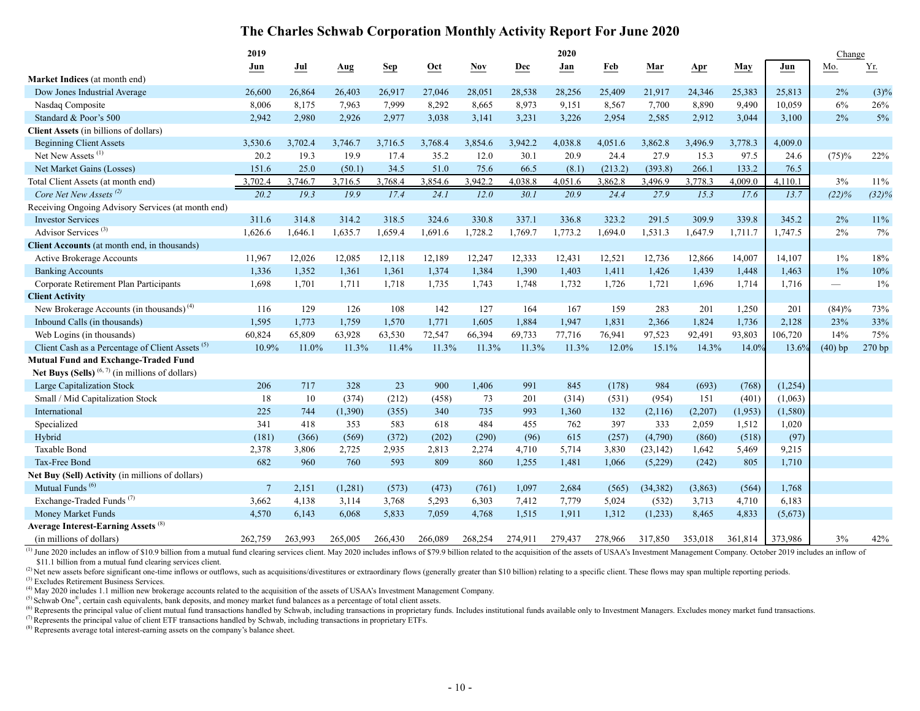## **The Charles Schwab Corporation Monthly Activity Report For June 2020**

|                                                             | 2019              |         |         |            |            |            |         | 2020    |         |           |         |         |          | Change          |         |
|-------------------------------------------------------------|-------------------|---------|---------|------------|------------|------------|---------|---------|---------|-----------|---------|---------|----------|-----------------|---------|
|                                                             | Jun               | Jul     | Aug     | <b>Sep</b> | <b>Oct</b> | <b>Nov</b> | Dec     | Jan     | Feb     | Mar       | Apr     | May     | Jun      | Mo.             | Yr.     |
| Market Indices (at month end)                               |                   |         |         |            |            |            |         |         |         |           |         |         |          |                 |         |
| Dow Jones Industrial Average                                | 26,600            | 26,864  | 26,403  | 26,917     | 27,046     | 28,051     | 28,538  | 28,256  | 25,409  | 21,917    | 24,346  | 25,383  | 25,813   | 2%              | $(3)\%$ |
| Nasdaq Composite                                            | 8,006             | 8,175   | 7,963   | 7,999      | 8,292      | 8,665      | 8,973   | 9,151   | 8,567   | 7,700     | 8,890   | 9,490   | 10,059   | 6%              | 26%     |
| Standard & Poor's 500                                       | 2,942             | 2,980   | 2,926   | 2,977      | 3,038      | 3,141      | 3,231   | 3,226   | 2,954   | 2,585     | 2,912   | 3,044   | 3,100    | 2%              | $5\%$   |
| <b>Client Assets</b> (in billions of dollars)               |                   |         |         |            |            |            |         |         |         |           |         |         |          |                 |         |
| <b>Beginning Client Assets</b>                              | 3,530.6           | 3,702.4 | 3,746.7 | 3,716.5    | 3,768.4    | 3,854.6    | 3,942.2 | 4,038.8 | 4,051.6 | 3,862.8   | 3,496.9 | 3,778.3 | 4,009.0  |                 |         |
| Net New Assets <sup>(1)</sup>                               | 20.2              | 19.3    | 19.9    | 17.4       | 35.2       | 12.0       | 30.1    | 20.9    | 24.4    | 27.9      | 15.3    | 97.5    | 24.6     | (75)%           | 22%     |
| Net Market Gains (Losses)                                   | 151.6             | 25.0    | (50.1)  | 34.5       | 51.0       | 75.6       | 66.5    | (8.1)   | (213.2) | (393.8)   | 266.1   | 133.2   | 76.5     |                 |         |
| Total Client Assets (at month end)                          | 3,702.4           | 3,746.7 | 3,716.5 | 3,768.4    | 3,854.6    | 3,942.2    | 4,038.8 | 4,051.6 | 3,862.8 | 3,496.9   | 3,778.3 | 4,009.0 | 4,110.1  | 3%              | $11\%$  |
| Core Net New Assets <sup>(2)</sup>                          | $\overline{20.2}$ | 19.3    | 19.9    | 17.4       | 24.1       | 12.0       | 30.1    | 20.9    | 24.4    | 27.9      | 15.3    | 17.6    | 13.7     | (22)%           | (32)%   |
| Receiving Ongoing Advisory Services (at month end)          |                   |         |         |            |            |            |         |         |         |           |         |         |          |                 |         |
| <b>Investor Services</b>                                    | 311.6             | 314.8   | 314.2   | 318.5      | 324.6      | 330.8      | 337.1   | 336.8   | 323.2   | 291.5     | 309.9   | 339.8   | 345.2    | 2%              | 11%     |
| Advisor Services <sup>(3)</sup>                             | 1,626.6           | 1,646.1 | 1,635.7 | 1,659.4    | 1,691.6    | 1,728.2    | 1,769.7 | 1,773.2 | 1,694.0 | 1,531.3   | 1,647.9 | 1,711.7 | 1,747.5  | $2\%$           | 7%      |
| Client Accounts (at month end, in thousands)                |                   |         |         |            |            |            |         |         |         |           |         |         |          |                 |         |
| Active Brokerage Accounts                                   | 11,967            | 12,026  | 12,085  | 12,118     | 12,189     | 12,247     | 12,333  | 12,431  | 12,521  | 12,736    | 12,866  | 14,007  | 14,107   | $1\%$           | 18%     |
| <b>Banking Accounts</b>                                     | 1,336             | 1,352   | 1,361   | 1,361      | 1,374      | 1,384      | 1,390   | 1,403   | 1,411   | 1,426     | 1,439   | 1,448   | 1,463    | 1%              | $10\%$  |
| Corporate Retirement Plan Participants                      | 1,698             | 1,701   | 1,711   | 1,718      | 1,735      | 1,743      | 1,748   | 1,732   | 1,726   | 1,721     | 1,696   | 1,714   | 1,716    | $\qquad \qquad$ | 1%      |
| <b>Client Activity</b>                                      |                   |         |         |            |            |            |         |         |         |           |         |         |          |                 |         |
| New Brokerage Accounts (in thousands) <sup>(4)</sup>        | 116               | 129     | 126     | 108        | 142        | 127        | 164     | 167     | 159     | 283       | 201     | 1,250   | 201      | (84)%           | 73%     |
| Inbound Calls (in thousands)                                | 1,595             | 1,773   | 1,759   | 1,570      | 1,771      | 1,605      | 1,884   | 1,947   | 1,831   | 2,366     | 1,824   | 1,736   | 2,128    | 23%             | 33%     |
| Web Logins (in thousands)                                   | 60,824            | 65,809  | 63,928  | 63,530     | 72,547     | 66,394     | 69,733  | 77,716  | 76,941  | 97,523    | 92,491  | 93,803  | 106,720  | 14%             | 75%     |
| Client Cash as a Percentage of Client Assets <sup>(5)</sup> | 10.9%             | 11.0%   | 11.3%   | 11.4%      | 11.3%      | 11.3%      | 11.3%   | 11.3%   | 12.0%   | 15.1%     | 14.3%   | 14.0%   | 13.6%    | $(40)$ bp       | 270 bp  |
| Mutual Fund and Exchange-Traded Fund                        |                   |         |         |            |            |            |         |         |         |           |         |         |          |                 |         |
| Net Buys (Sells) $(6, 7)$ (in millions of dollars)          |                   |         |         |            |            |            |         |         |         |           |         |         |          |                 |         |
| Large Capitalization Stock                                  | 206               | 717     | 328     | 23         | 900        | 1,406      | 991     | 845     | (178)   | 984       | (693)   | (768)   | (1,254)  |                 |         |
| Small / Mid Capitalization Stock                            | 18                | 10      | (374)   | (212)      | (458)      | 73         | 201     | (314)   | (531)   | (954)     | 151     | (401)   | (1,063)  |                 |         |
| International                                               | 225               | 744     | (1,390) | (355)      | 340        | 735        | 993     | 1,360   | 132     | (2,116)   | (2,207) | (1,953) | (1, 580) |                 |         |
| Specialized                                                 | 341               | 418     | 353     | 583        | 618        | 484        | 455     | 762     | 397     | 333       | 2,059   | 1,512   | 1,020    |                 |         |
| Hybrid                                                      | (181)             | (366)   | (569)   | (372)      | (202)      | (290)      | (96)    | 615     | (257)   | (4,790)   | (860)   | (518)   | (97)     |                 |         |
| Taxable Bond                                                | 2,378             | 3,806   | 2,725   | 2,935      | 2,813      | 2,274      | 4,710   | 5,714   | 3,830   | (23, 142) | 1,642   | 5,469   | 9,215    |                 |         |
| Tax-Free Bond                                               | 682               | 960     | 760     | 593        | 809        | 860        | 1,255   | 1,481   | 1,066   | (5,229)   | (242)   | 805     | 1,710    |                 |         |
| Net Buy (Sell) Activity (in millions of dollars)            |                   |         |         |            |            |            |         |         |         |           |         |         |          |                 |         |
| Mutual Funds <sup>(6)</sup>                                 | $\overline{7}$    | 2,151   | (1,281) | (573)      | (473)      | (761)      | 1,097   | 2,684   | (565)   | (34, 382) | (3,863) | (564)   | 1,768    |                 |         |
| Exchange-Traded Funds <sup>(7)</sup>                        | 3,662             | 4,138   | 3,114   | 3,768      | 5,293      | 6,303      | 7,412   | 7,779   | 5,024   | (532)     | 3,713   | 4,710   | 6,183    |                 |         |
| Money Market Funds                                          | 4,570             | 6,143   | 6,068   | 5,833      | 7,059      | 4,768      | 1,515   | 1,911   | 1,312   | (1,233)   | 8,465   | 4,833   | (5,673)  |                 |         |
| Average Interest-Earning Assets <sup>(8)</sup>              |                   |         |         |            |            |            |         |         |         |           |         |         |          |                 |         |
| (in millions of dollars)                                    | 262,759           | 263,993 | 265,005 | 266,430    | 266,089    | 268,254    | 274,911 | 279,437 | 278,966 | 317,850   | 353,018 | 361,814 | 373,986  | 3%              | 42%     |

<sup>(1)</sup> June 2020 includes an inflow of \$10.9 billion from a mutual fund clearing services client. May 2020 includes inflows of \$79.9 billion related to the acquisition of the assets of USAA's Investment Management Company. \$11.1 billion from a mutual fund clearing services client.

(2) Net new assets before significant one-time inflows or outflows, such as acquisitions/divestitures or extraordinary flows (generally greater than \$10 billion) relating to a specific client. These flows may span multiple

(3) Excludes Retirement Business Services.

<sup>(4)</sup> May 2020 includes 1.1 million new brokerage accounts related to the acquisition of the assets of USAA's Investment Management Company.

<sup>(5)</sup> Schwab One<sup>®</sup>, certain cash equivalents, bank deposits, and money market fund balances as a percentage of total client assets.

<sup>(6)</sup> Represents the principal value of client mutual fund transactions handled by Schwab, including transactions in proprietary funds. Includes institutional funds available only to Investment Managers. Excludes money mar

( $7$ ) Represents the principal value of client ETF transactions handled by Schwab, including transactions in proprietary ETFs.

 $(8)$  Represents average total interest-earning assets on the company's balance sheet.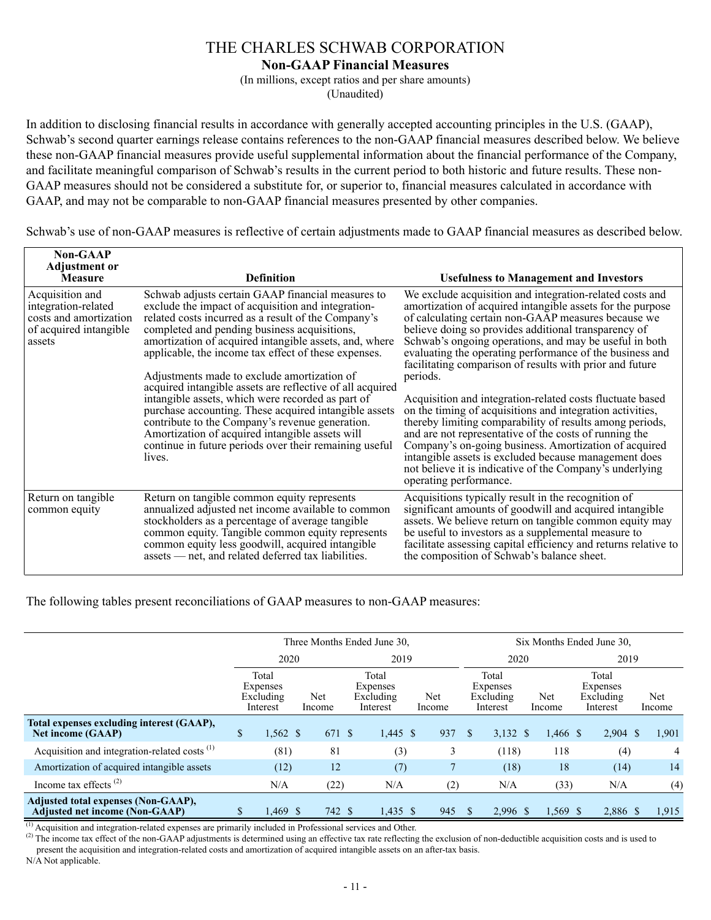**Non-GAAP Financial Measures**

(In millions, except ratios and per share amounts)

(Unaudited)

In addition to disclosing financial results in accordance with generally accepted accounting principles in the U.S. (GAAP), Schwab's second quarter earnings release contains references to the non-GAAP financial measures described below. We believe these non-GAAP financial measures provide useful supplemental information about the financial performance of the Company, and facilitate meaningful comparison of Schwab's results in the current period to both historic and future results. These non-GAAP measures should not be considered a substitute for, or superior to, financial measures calculated in accordance with GAAP, and may not be comparable to non-GAAP financial measures presented by other companies.

Schwab's use of non-GAAP measures is reflective of certain adjustments made to GAAP financial measures as described below.

| <b>Non-GAAP</b><br><b>Adjustment or</b><br><b>Measure</b>                                            | <b>Definition</b>                                                                                                                                                                                                                                                                                                                                                                                                                                                                                                                                                                                                                                                                                                                    | <b>Usefulness to Management and Investors</b>                                                                                                                                                                                                                                                                                                                                                                                                                                                                                                                                                                                                                                                                                                                                                                                                                                               |
|------------------------------------------------------------------------------------------------------|--------------------------------------------------------------------------------------------------------------------------------------------------------------------------------------------------------------------------------------------------------------------------------------------------------------------------------------------------------------------------------------------------------------------------------------------------------------------------------------------------------------------------------------------------------------------------------------------------------------------------------------------------------------------------------------------------------------------------------------|---------------------------------------------------------------------------------------------------------------------------------------------------------------------------------------------------------------------------------------------------------------------------------------------------------------------------------------------------------------------------------------------------------------------------------------------------------------------------------------------------------------------------------------------------------------------------------------------------------------------------------------------------------------------------------------------------------------------------------------------------------------------------------------------------------------------------------------------------------------------------------------------|
| Acquisition and<br>integration-related<br>costs and amortization<br>of acquired intangible<br>assets | Schwab adjusts certain GAAP financial measures to<br>exclude the impact of acquisition and integration-<br>related costs incurred as a result of the Company's<br>completed and pending business acquisitions,<br>amortization of acquired intangible assets, and, where<br>applicable, the income tax effect of these expenses.<br>Adjustments made to exclude amortization of<br>acquired intangible assets are reflective of all acquired<br>intangible assets, which were recorded as part of<br>purchase accounting. These acquired intangible assets<br>contribute to the Company's revenue generation.<br>Amortization of acquired intangible assets will<br>continue in future periods over their remaining useful<br>lives. | We exclude acquisition and integration-related costs and<br>amortization of acquired intangible assets for the purpose<br>of calculating certain non-GAAP measures because we<br>believe doing so provides additional transparency of<br>Schwab's ongoing operations, and may be useful in both<br>evaluating the operating performance of the business and<br>facilitating comparison of results with prior and future<br>periods.<br>Acquisition and integration-related costs fluctuate based<br>on the timing of acquisitions and integration activities,<br>thereby limiting comparability of results among periods,<br>and are not representative of the costs of running the<br>Company's on-going business. Amortization of acquired<br>intangible assets is excluded because management does<br>not believe it is indicative of the Company's underlying<br>operating performance. |
| Return on tangible<br>common equity                                                                  | Return on tangible common equity represents<br>annualized adjusted net income available to common<br>stockholders as a percentage of average tangible<br>common equity. Tangible common equity represents<br>common equity less goodwill, acquired intangible<br>assets — net, and related deferred tax liabilities.                                                                                                                                                                                                                                                                                                                                                                                                                 | Acquisitions typically result in the recognition of<br>significant amounts of goodwill and acquired intangible<br>assets. We believe return on tangible common equity may<br>be useful to investors as a supplemental measure to<br>facilitate assessing capital efficiency and returns relative to<br>the composition of Schwab's balance sheet.                                                                                                                                                                                                                                                                                                                                                                                                                                                                                                                                           |

The following tables present reconciliations of GAAP measures to non-GAAP measures:

|                                                                              |               |                                            |               |        | Three Months Ended June 30,                |               |              |                                            | Six Months Ended June 30, |                                            |               |
|------------------------------------------------------------------------------|---------------|--------------------------------------------|---------------|--------|--------------------------------------------|---------------|--------------|--------------------------------------------|---------------------------|--------------------------------------------|---------------|
|                                                                              |               | 2020                                       |               |        | 2019                                       |               |              | 2020                                       |                           | 2019                                       |               |
|                                                                              |               | Total<br>Expenses<br>Excluding<br>Interest | Net<br>Income |        | Total<br>Expenses<br>Excluding<br>Interest | Net<br>Income |              | Total<br>Expenses<br>Excluding<br>Interest | Net<br>Income             | Total<br>Expenses<br>Excluding<br>Interest | Net<br>Income |
| Total expenses excluding interest (GAAP),<br><b>Net income (GAAP)</b>        | $\mathsf{\$}$ | $1,562$ \$                                 |               | 671 \$ | $1,445$ \$                                 | 937           | $\mathbf{s}$ | 3,132 \$                                   | 1,466 \$                  | $2,904$ \$                                 | 1,901         |
| Acquisition and integration-related costs <sup>(1)</sup>                     |               | (81)                                       |               | 81     | (3)                                        | 3             |              | (118)                                      | 118                       | (4)                                        | 4             |
| Amortization of acquired intangible assets                                   |               | (12)                                       |               | 12     | (7)                                        |               |              | (18)                                       | 18                        | (14)                                       | 14            |
| Income tax effects $(2)$                                                     |               | N/A                                        |               | (22)   | N/A                                        | (2)           |              | N/A                                        | (33)                      | N/A                                        | (4)           |
| Adjusted total expenses (Non-GAAP),<br><b>Adjusted net income (Non-GAAP)</b> | S             | $1,469$ \$                                 |               | 742 \$ | $1,435$ \$                                 | 945           | S.           | 2,996 \$                                   | $1,569$ \$                | 2.886 \$                                   | 1,915         |

(1) Acquisition and integration-related expenses are primarily included in Professional services and Other.

<sup>(2)</sup> The income tax effect of the non-GAAP adjustments is determined using an effective tax rate reflecting the exclusion of non-deductible acquisition costs and is used to present the acquisition and integration-related costs and amortization of acquired intangible assets on an after-tax basis.

N/A Not applicable.